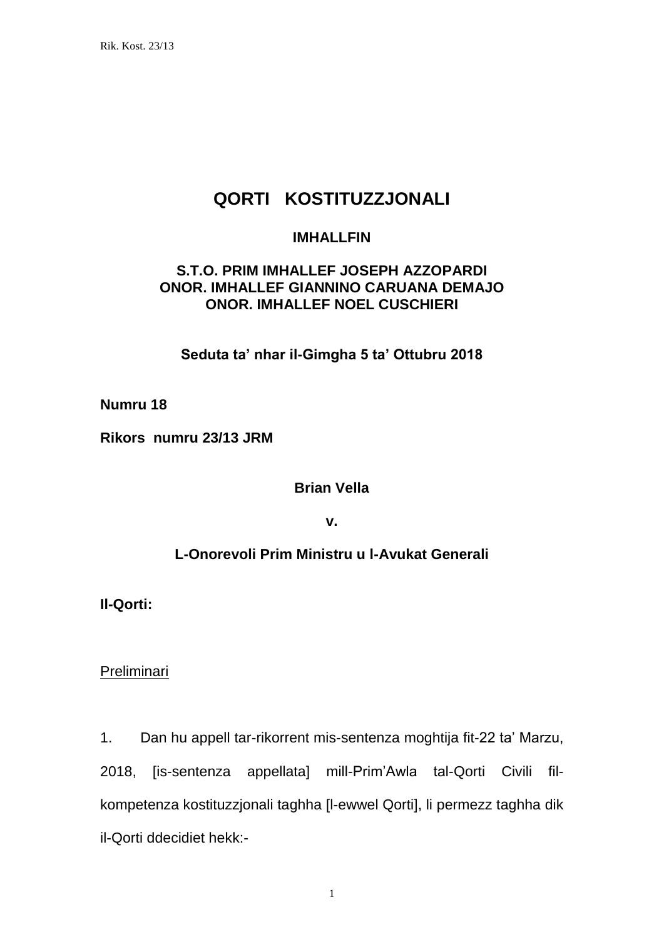# **QORTI KOSTITUZZJONALI**

### **IMHALLFIN**

# **S.T.O. PRIM IMHALLEF JOSEPH AZZOPARDI ONOR. IMHALLEF GIANNINO CARUANA DEMAJO ONOR. IMHALLEF NOEL CUSCHIERI**

**Seduta ta' nhar il-Gimgha 5 ta' Ottubru 2018**

**Numru 18**

**Rikors numru 23/13 JRM**

**Brian Vella**

**v.**

# **L-Onorevoli Prim Ministru u l-Avukat Generali**

**Il-Qorti:**

Preliminari

1. Dan hu appell tar-rikorrent mis-sentenza moghtija fit-22 ta' Marzu, 2018, [is-sentenza appellata] mill-Prim'Awla tal-Qorti Civili filkompetenza kostituzzjonali taghha [l-ewwel Qorti], li permezz taghha dik il-Qorti ddecidiet hekk:-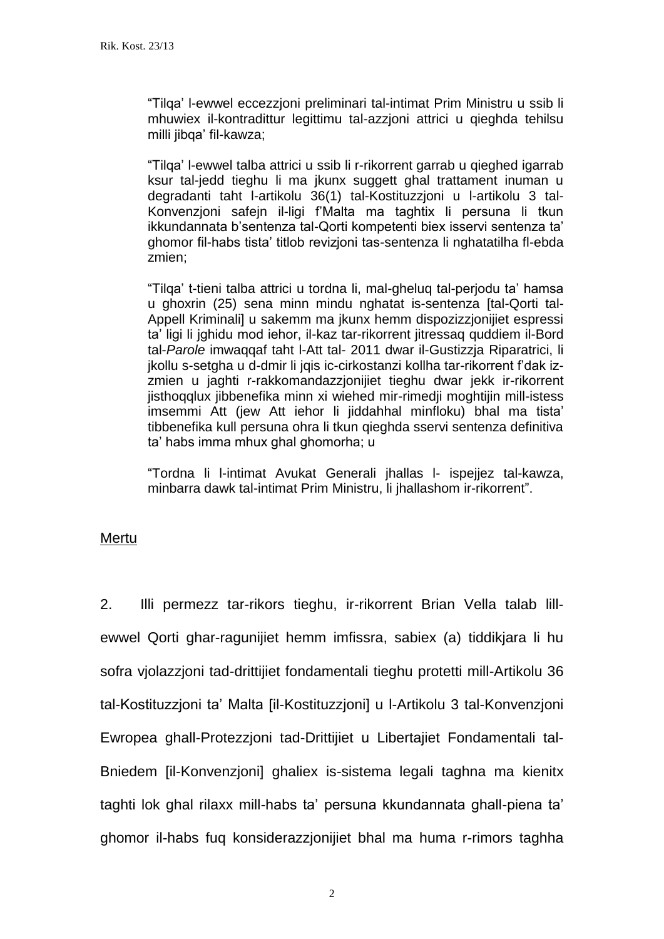"Tilqa' l-ewwel eccezzjoni preliminari tal-intimat Prim Ministru u ssib li mhuwiex il-kontradittur legittimu tal-azzjoni attrici u qieghda tehilsu milli jibqa' fil-kawza;

"Tilqa' l-ewwel talba attrici u ssib li r-rikorrent garrab u qieghed igarrab ksur tal-jedd tieghu li ma jkunx suggett ghal trattament inuman u degradanti taht l-artikolu 36(1) tal-Kostituzzjoni u l-artikolu 3 tal-Konvenzjoni safejn il-ligi f'Malta ma taghtix li persuna li tkun ikkundannata b'sentenza tal-Qorti kompetenti biex isservi sentenza ta' ghomor fil-habs tista' titlob revizjoni tas-sentenza li nghatatilha fl-ebda zmien;

"Tilqa' t-tieni talba attrici u tordna li, mal-gheluq tal-perjodu ta' hamsa u ghoxrin (25) sena minn mindu nghatat is-sentenza [tal-Qorti tal-Appell Kriminali] u sakemm ma jkunx hemm dispozizzjonijiet espressi ta' ligi li jghidu mod iehor, il-kaz tar-rikorrent jitressaq quddiem il-Bord tal-*Parole* imwaqqaf taht l-Att tal- 2011 dwar il-Gustizzja Riparatrici, li jkollu s-setgha u d-dmir li jqis ic-cirkostanzi kollha tar-rikorrent f'dak izzmien u jaghti r-rakkomandazzjonijiet tieghu dwar jekk ir-rikorrent jisthoqqlux jibbenefika minn xi wiehed mir-rimedji moghtijin mill-istess imsemmi Att (jew Att iehor li jiddahhal minfloku) bhal ma tista' tibbenefika kull persuna ohra li tkun qieghda sservi sentenza definitiva ta' habs imma mhux ghal ghomorha; u

"Tordna li l-intimat Avukat Generali jhallas l- ispejjez tal-kawza, minbarra dawk tal-intimat Prim Ministru, li jhallashom ir-rikorrent".

#### Mertu

2. Illi permezz tar-rikors tieghu, ir-rikorrent Brian Vella talab lillewwel Qorti ghar-ragunijiet hemm imfissra, sabiex (a) tiddikjara li hu sofra vjolazzjoni tad-drittijiet fondamentali tieghu protetti mill-Artikolu 36 tal-Kostituzzjoni ta' Malta [il-Kostituzzjoni] u l-Artikolu 3 tal-Konvenzjoni Ewropea ghall-Protezzjoni tad-Drittijiet u Libertajiet Fondamentali tal-Bniedem [il-Konvenzjoni] ghaliex is-sistema legali taghna ma kienitx taghti lok ghal rilaxx mill-habs ta' persuna kkundannata ghall-piena ta' ghomor il-habs fuq konsiderazzjonijiet bhal ma huma r-rimors taghha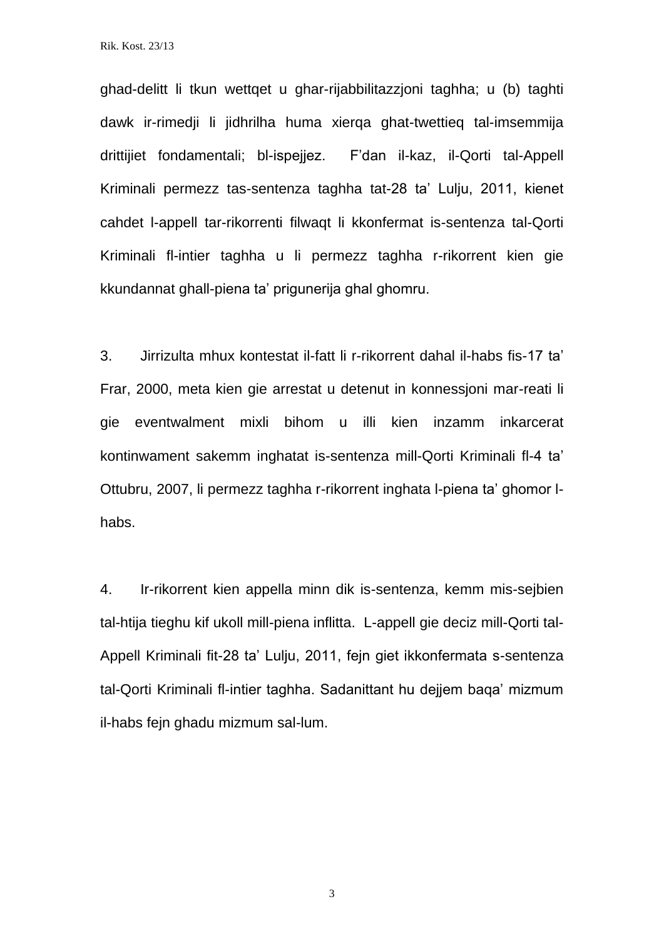ghad-delitt li tkun wettqet u ghar-rijabbilitazzjoni taghha; u (b) taghti dawk ir-rimedji li jidhrilha huma xierqa ghat-twettieq tal-imsemmija drittijiet fondamentali; bl-ispejjez. F'dan il-kaz, il-Qorti tal-Appell Kriminali permezz tas-sentenza taghha tat-28 ta' Lulju, 2011, kienet cahdet l-appell tar-rikorrenti filwaqt li kkonfermat is-sentenza tal-Qorti Kriminali fl-intier taghha u li permezz taghha r-rikorrent kien gie kkundannat ghall-piena ta' prigunerija ghal ghomru.

3. Jirrizulta mhux kontestat il-fatt li r-rikorrent dahal il-habs fis-17 ta' Frar, 2000, meta kien gie arrestat u detenut in konnessjoni mar-reati li gie eventwalment mixli bihom u illi kien inzamm inkarcerat kontinwament sakemm inghatat is-sentenza mill-Qorti Kriminali fl-4 ta' Ottubru, 2007, li permezz taghha r-rikorrent inghata l-piena ta' ghomor lhabs.

4. Ir-rikorrent kien appella minn dik is-sentenza, kemm mis-sejbien tal-htija tieghu kif ukoll mill-piena inflitta. L-appell gie deciz mill-Qorti tal-Appell Kriminali fit-28 ta' Lulju, 2011, fejn giet ikkonfermata s-sentenza tal-Qorti Kriminali fl-intier taghha. Sadanittant hu dejjem baqa' mizmum il-habs fejn ghadu mizmum sal-lum.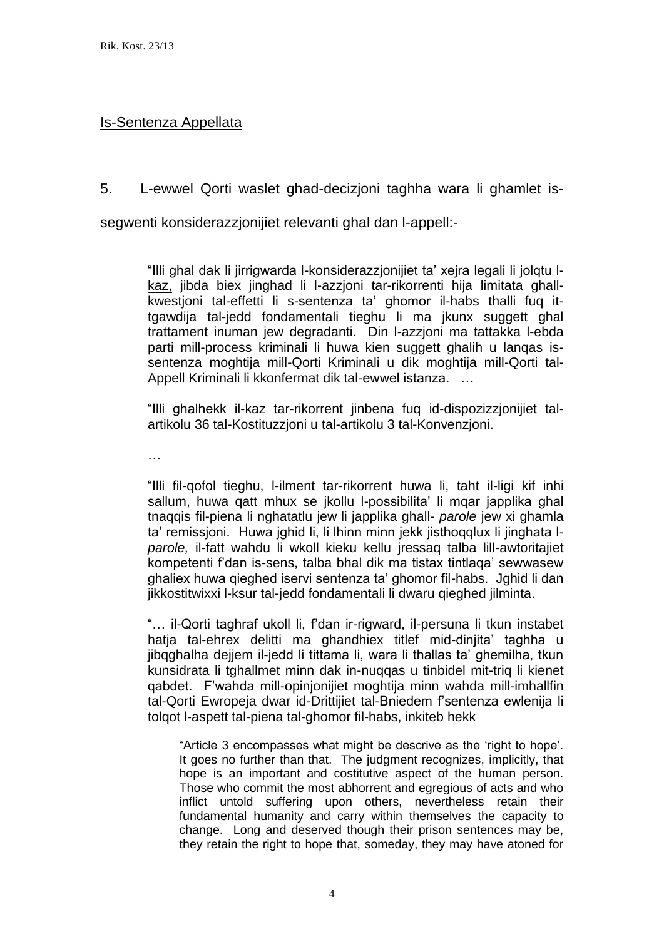#### Is-Sentenza Appellata

5. L-ewwel Qorti waslet ghad-decizjoni taghha wara li ghamlet is-

segwenti konsiderazzjonijiet relevanti ghal dan l-appell:-

"Illi ghal dak li jirrigwarda l-konsiderazzjonijiet ta' xejra legali li jolqtu lkaz, jibda biex jinghad li l-azzjoni tar-rikorrenti hija limitata ghallkwestjoni tal-effetti li s-sentenza ta' ghomor il-habs thalli fuq ittgawdija tal-jedd fondamentali tieghu li ma jkunx suggett ghal trattament inuman jew degradanti. Din l-azzjoni ma tattakka l-ebda parti mill-process kriminali li huwa kien suggett ghalih u lanqas issentenza moghtija mill-Qorti Kriminali u dik moghtija mill-Qorti tal-Appell Kriminali li kkonfermat dik tal-ewwel istanza. …

"Illi ghalhekk il-kaz tar-rikorrent jinbena fuq id-dispozizzjonijiet talartikolu 36 tal-Kostituzzjoni u tal-artikolu 3 tal-Konvenzjoni.

…

"Illi fil-qofol tieghu, l-ilment tar-rikorrent huwa li, taht il-ligi kif inhi sallum, huwa qatt mhux se jkollu l-possibilita' li mqar japplika ghal tnaqqis fil-piena li nghatatlu jew li japplika ghall- *parole* jew xi ghamla ta' remissjoni. Huwa jghid li, li lhinn minn jekk jisthoqqlux li jinghata l*parole,* il-fatt wahdu li wkoll kieku kellu jressaq talba lill-awtoritajiet kompetenti f'dan is-sens, talba bhal dik ma tistax tintlaqa' sewwasew ghaliex huwa qieghed iservi sentenza ta' ghomor fil-habs. Jghid li dan jikkostitwixxi l-ksur tal-jedd fondamentali li dwaru qieghed jilminta.

"… il-Qorti taghraf ukoll li, f'dan ir-rigward, il-persuna li tkun instabet hatja tal-ehrex delitti ma ghandhiex titlef mid-dinjita' taghha u jibqghalha dejjem il-jedd li tittama li, wara li thallas ta' ghemilha, tkun kunsidrata li tghallmet minn dak in-nuqqas u tinbidel mit-triq li kienet qabdet. F'wahda mill-opinjonijiet moghtija minn wahda mill-imhallfin tal-Qorti Ewropeja dwar id-Drittijiet tal-Bniedem f'sentenza ewlenija li tolqot l-aspett tal-piena tal-ghomor fil-habs, inkiteb hekk

"Article 3 encompasses what might be descrive as the 'right to hope'. It goes no further than that. The judgment recognizes, implicitly, that hope is an important and costitutive aspect of the human person. Those who commit the most abhorrent and egregious of acts and who inflict untold suffering upon others, nevertheless retain their fundamental humanity and carry within themselves the capacity to change. Long and deserved though their prison sentences may be, they retain the right to hope that, someday, they may have atoned for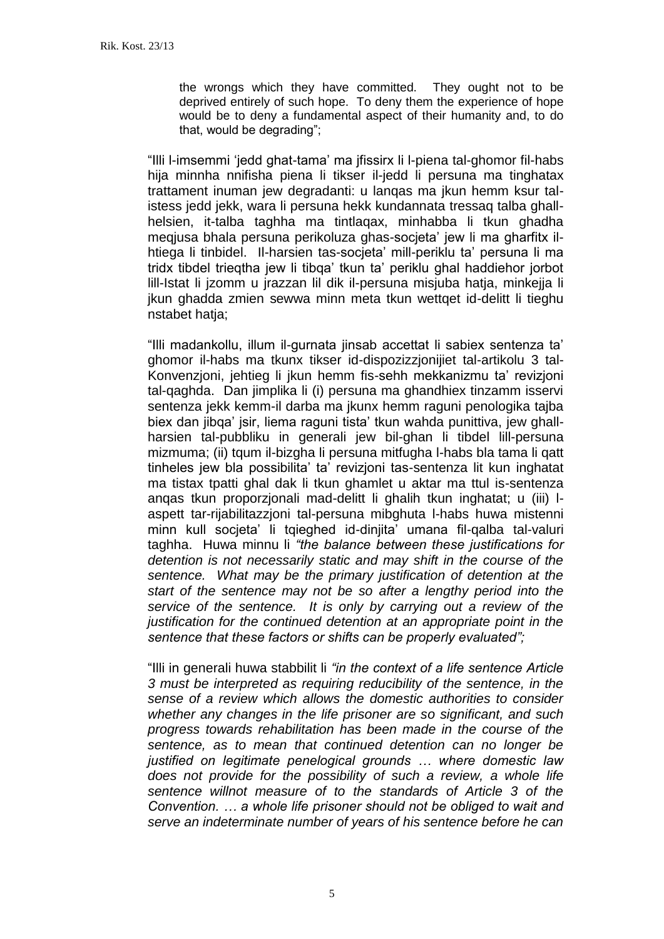the wrongs which they have committed. They ought not to be deprived entirely of such hope. To deny them the experience of hope would be to deny a fundamental aspect of their humanity and, to do that, would be degrading";

"Illi l-imsemmi 'jedd ghat-tama' ma jfissirx li l-piena tal-ghomor fil-habs hija minnha nnifisha piena li tikser il-jedd li persuna ma tinghatax trattament inuman jew degradanti: u lanqas ma jkun hemm ksur talistess jedd jekk, wara li persuna hekk kundannata tressaq talba ghallhelsien, it-talba taghha ma tintlaqax, minhabba li tkun ghadha meqjusa bhala persuna perikoluza ghas-socjeta' jew li ma gharfitx ilhtiega li tinbidel. Il-harsien tas-socjeta' mill-periklu ta' persuna li ma tridx tibdel trieqtha jew li tibqa' tkun ta' periklu ghal haddiehor jorbot lill-Istat li jzomm u jrazzan lil dik il-persuna misjuba hatja, minkejja li jkun ghadda zmien sewwa minn meta tkun wettqet id-delitt li tieghu nstabet hatja;

"Illi madankollu, illum il-gurnata jinsab accettat li sabiex sentenza ta' ghomor il-habs ma tkunx tikser id-dispozizzjonijiet tal-artikolu 3 tal-Konvenzjoni, jehtieg li jkun hemm fis-sehh mekkanizmu ta' revizjoni tal-qaghda. Dan jimplika li (i) persuna ma ghandhiex tinzamm isservi sentenza jekk kemm-il darba ma jkunx hemm raguni penologika tajba biex dan jibqa' jsir, liema raguni tista' tkun wahda punittiva, jew ghallharsien tal-pubbliku in generali jew bil-ghan li tibdel lill-persuna mizmuma; (ii) tqum il-bizgha li persuna mitfugha l-habs bla tama li qatt tinheles jew bla possibilita' ta' revizjoni tas-sentenza lit kun inghatat ma tistax tpatti ghal dak li tkun ghamlet u aktar ma ttul is-sentenza anqas tkun proporzjonali mad-delitt li ghalih tkun inghatat; u (iii) laspett tar-rijabilitazzjoni tal-persuna mibghuta l-habs huwa mistenni minn kull socjeta' li tqieghed id-dinjita' umana fil-qalba tal-valuri taghha. Huwa minnu li *"the balance between these justifications for detention is not necessarily static and may shift in the course of the sentence. What may be the primary justification of detention at the start of the sentence may not be so after a lengthy period into the service of the sentence. It is only by carrying out a review of the justification for the continued detention at an appropriate point in the sentence that these factors or shifts can be properly evaluated";*

"Illi in generali huwa stabbilit li *"in the context of a life sentence Article 3 must be interpreted as requiring reducibility of the sentence, in the sense of a review which allows the domestic authorities to consider whether any changes in the life prisoner are so significant, and such progress towards rehabilitation has been made in the course of the sentence, as to mean that continued detention can no longer be justified on legitimate penelogical grounds … where domestic law does not provide for the possibility of such a review, a whole life sentence willnot measure of to the standards of Article 3 of the Convention. … a whole life prisoner should not be obliged to wait and serve an indeterminate number of years of his sentence before he can*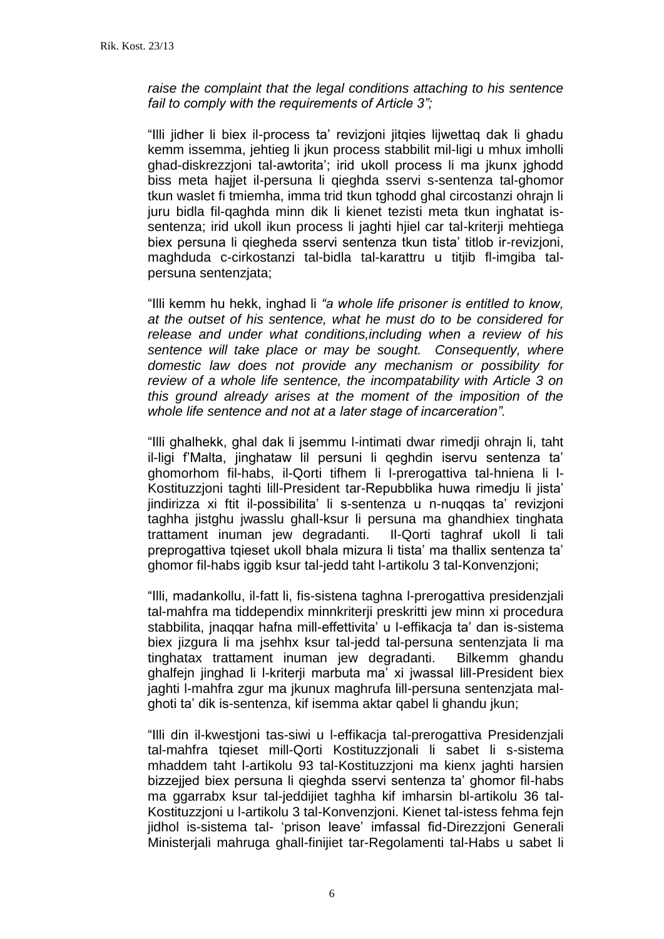*raise the complaint that the legal conditions attaching to his sentence fail to comply with the requirements of Article 3";*

"Illi jidher li biex il-process ta' revizjoni jitqies lijwettaq dak li ghadu kemm issemma, jehtieg li jkun process stabbilit mil-ligi u mhux imholli ghad-diskrezzjoni tal-awtorita'; irid ukoll process li ma jkunx jghodd biss meta hajiet il-persuna li gieghda sservi s-sentenza tal-ghomor tkun waslet fi tmiemha, imma trid tkun tghodd ghal circostanzi ohrajn li juru bidla fil-qaghda minn dik li kienet tezisti meta tkun inghatat issentenza; irid ukoll ikun process li jaghti hjiel car tal-kriterji mehtiega biex persuna li qiegheda sservi sentenza tkun tista' titlob ir-revizjoni, maghduda c-cirkostanzi tal-bidla tal-karattru u titjib fl-imgiba talpersuna sentenzjata;

"Illi kemm hu hekk, inghad li *"a whole life prisoner is entitled to know, at the outset of his sentence, what he must do to be considered for release and under what conditions,including when a review of his sentence will take place or may be sought. Consequently, where domestic law does not provide any mechanism or possibility for review of a whole life sentence, the incompatability with Article 3 on this ground already arises at the moment of the imposition of the whole life sentence and not at a later stage of incarceration".*

"Illi ghalhekk, ghal dak li jsemmu l-intimati dwar rimedji ohrajn li, taht il-ligi f'Malta, jinghataw lil persuni li qeghdin iservu sentenza ta' ghomorhom fil-habs, il-Qorti tifhem li l-prerogattiva tal-hniena li l-Kostituzzjoni taghti lill-President tar-Repubblika huwa rimedju li jista' jindirizza xi ftit il-possibilita' li s-sentenza u n-nuqqas ta' revizjoni taghha jistghu jwasslu ghall-ksur li persuna ma ghandhiex tinghata trattament inuman jew degradanti. Il-Qorti taghraf ukoll li tali preprogattiva tqieset ukoll bhala mizura li tista' ma thallix sentenza ta' ghomor fil-habs iggib ksur tal-jedd taht l-artikolu 3 tal-Konvenzjoni;

"Illi, madankollu, il-fatt li, fis-sistena taghna l-prerogattiva presidenzjali tal-mahfra ma tiddependix minnkriterji preskritti jew minn xi procedura stabbilita, jnaqqar hafna mill-effettivita' u l-effikacja ta' dan is-sistema biex jizgura li ma jsehhx ksur tal-jedd tal-persuna sentenzjata li ma tinghatax trattament inuman jew degradanti. Bilkemm ghandu ghalfejn jinghad li l-kriterji marbuta ma' xi jwassal lill-President biex jaghti l-mahfra zgur ma jkunux maghrufa lill-persuna sentenzjata malghoti ta' dik is-sentenza, kif isemma aktar qabel li ghandu jkun;

"Illi din il-kwestjoni tas-siwi u l-effikacja tal-prerogattiva Presidenzjali tal-mahfra tqieset mill-Qorti Kostituzzjonali li sabet li s-sistema mhaddem taht l-artikolu 93 tal-Kostituzzjoni ma kienx jaghti harsien bizzejjed biex persuna li qieghda sservi sentenza ta' ghomor fil-habs ma ggarrabx ksur tal-jeddijiet taghha kif imharsin bl-artikolu 36 tal-Kostituzzjoni u l-artikolu 3 tal-Konvenzjoni. Kienet tal-istess fehma fejn jidhol is-sistema tal- 'prison leave' imfassal fid-Direzzjoni Generali Ministerjali mahruga ghall-finijiet tar-Regolamenti tal-Habs u sabet li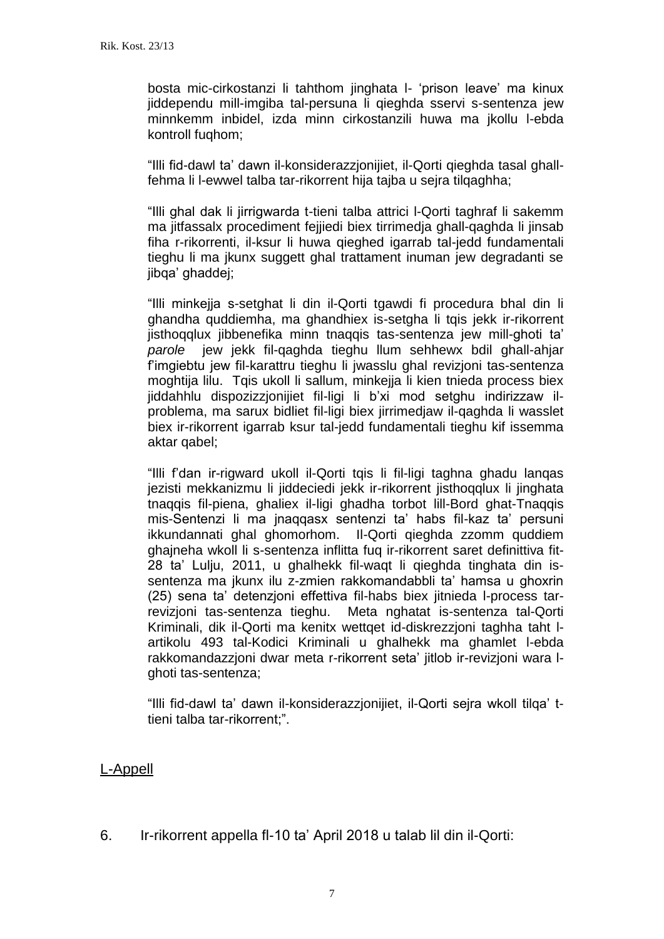bosta mic-cirkostanzi li tahthom jinghata l- 'prison leave' ma kinux jiddependu mill-imgiba tal-persuna li qieghda sservi s-sentenza jew minnkemm inbidel, izda minn cirkostanzili huwa ma jkollu l-ebda kontroll fuqhom;

"Illi fid-dawl ta' dawn il-konsiderazzjonijiet, il-Qorti qieghda tasal ghallfehma li l-ewwel talba tar-rikorrent hija tajba u sejra tilqaghha;

"Illi ghal dak li jirrigwarda t-tieni talba attrici l-Qorti taghraf li sakemm ma jitfassalx procediment fejjiedi biex tirrimedja ghall-qaghda li jinsab fiha r-rikorrenti, il-ksur li huwa qieghed igarrab tal-jedd fundamentali tieghu li ma jkunx suggett ghal trattament inuman jew degradanti se jibqa' ghaddej;

"Illi minkejja s-setghat li din il-Qorti tgawdi fi procedura bhal din li ghandha quddiemha, ma ghandhiex is-setgha li tqis jekk ir-rikorrent jisthoqqlux jibbenefika minn tnaqqis tas-sentenza jew mill-ghoti ta' *parole* jew jekk fil-qaghda tieghu llum sehhewx bdil ghall-ahjar f'imgiebtu jew fil-karattru tieghu li jwasslu ghal revizjoni tas-sentenza moghtija lilu. Tqis ukoll li sallum, minkejja li kien tnieda process biex jiddahhlu dispozizzjonijiet fil-ligi li b'xi mod setghu indirizzaw ilproblema, ma sarux bidliet fil-ligi biex jirrimedjaw il-qaghda li wasslet biex ir-rikorrent igarrab ksur tal-jedd fundamentali tieghu kif issemma aktar qabel;

"Illi f'dan ir-rigward ukoll il-Qorti tqis li fil-ligi taghna ghadu lanqas jezisti mekkanizmu li jiddeciedi jekk ir-rikorrent jisthoqqlux li jinghata tnaqqis fil-piena, ghaliex il-ligi ghadha torbot lill-Bord ghat-Tnaqqis mis-Sentenzi li ma jnaqqasx sentenzi ta' habs fil-kaz ta' persuni ikkundannati ghal ghomorhom. Il-Qorti qieghda zzomm quddiem ghajneha wkoll li s-sentenza inflitta fuq ir-rikorrent saret definittiva fit-28 ta' Lulju, 2011, u ghalhekk fil-waqt li qieghda tinghata din issentenza ma jkunx ilu z-zmien rakkomandabbli ta' hamsa u ghoxrin (25) sena ta' detenzjoni effettiva fil-habs biex jitnieda l-process tarrevizjoni tas-sentenza tieghu. Meta nghatat is-sentenza tal-Qorti Kriminali, dik il-Qorti ma kenitx wettqet id-diskrezzjoni taghha taht lartikolu 493 tal-Kodici Kriminali u ghalhekk ma ghamlet l-ebda rakkomandazzjoni dwar meta r-rikorrent seta' jitlob ir-revizjoni wara lghoti tas-sentenza;

"Illi fid-dawl ta' dawn il-konsiderazzjonijiet, il-Qorti sejra wkoll tilqa' ttieni talba tar-rikorrent;".

# L-Appell

6. Ir-rikorrent appella fl-10 ta' April 2018 u talab lil din il-Qorti: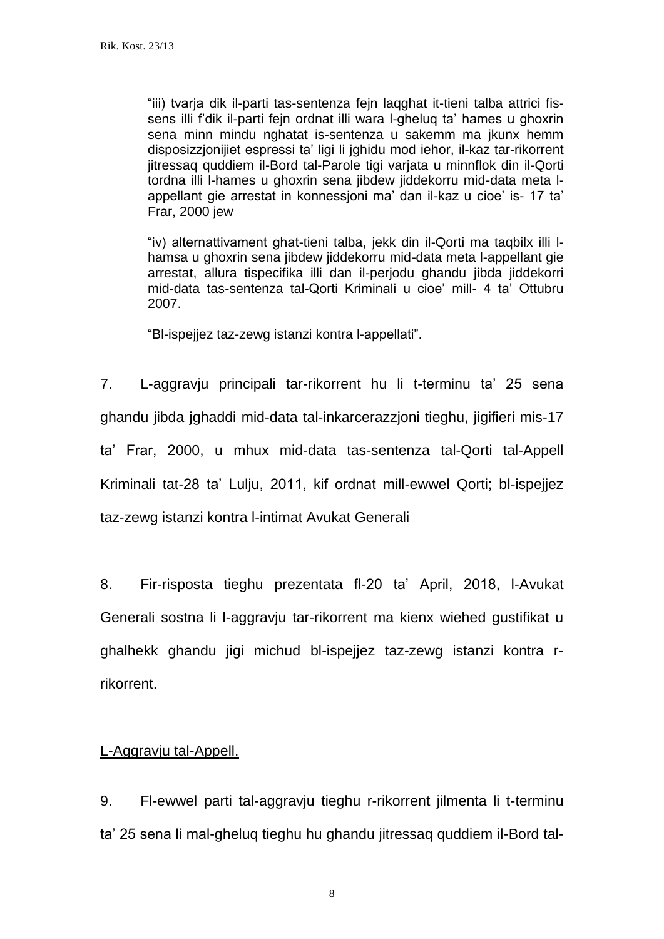"iii) tvarja dik il-parti tas-sentenza fejn laqghat it-tieni talba attrici fissens illi f'dik il-parti fejn ordnat illi wara l-gheluq ta' hames u ghoxrin sena minn mindu nghatat is-sentenza u sakemm ma jkunx hemm disposizzjonijiet espressi ta' ligi li jghidu mod iehor, il-kaz tar-rikorrent jitressaq quddiem il-Bord tal-Parole tigi varjata u minnflok din il-Qorti tordna illi l-hames u ghoxrin sena jibdew jiddekorru mid-data meta lappellant gie arrestat in konnessjoni ma' dan il-kaz u cioe' is- 17 ta' Frar, 2000 jew

"iv) alternattivament ghat-tieni talba, jekk din il-Qorti ma taqbilx illi lhamsa u ghoxrin sena jibdew jiddekorru mid-data meta l-appellant gie arrestat, allura tispecifika illi dan il-perjodu ghandu jibda jiddekorri mid-data tas-sentenza tal-Qorti Kriminali u cioe' mill- 4 ta' Ottubru 2007.

"Bl-ispejjez taz-zewg istanzi kontra l-appellati".

7. L-aggravju principali tar-rikorrent hu li t-terminu ta' 25 sena ghandu jibda jghaddi mid-data tal-inkarcerazzjoni tieghu, jigifieri mis-17 ta' Frar, 2000, u mhux mid-data tas-sentenza tal-Qorti tal-Appell Kriminali tat-28 ta' Lulju, 2011, kif ordnat mill-ewwel Qorti; bl-ispejjez taz-zewg istanzi kontra l-intimat Avukat Generali

8. Fir-risposta tieghu prezentata fl-20 ta' April, 2018, l-Avukat Generali sostna li l-aggravju tar-rikorrent ma kienx wiehed gustifikat u ghalhekk ghandu jigi michud bl-ispejjez taz-zewg istanzi kontra rrikorrent.

#### L-Aggravju tal-Appell.

9. Fl-ewwel parti tal-aggravju tieghu r-rikorrent jilmenta li t-terminu ta' 25 sena li mal-gheluq tieghu hu ghandu jitressaq quddiem il-Bord tal-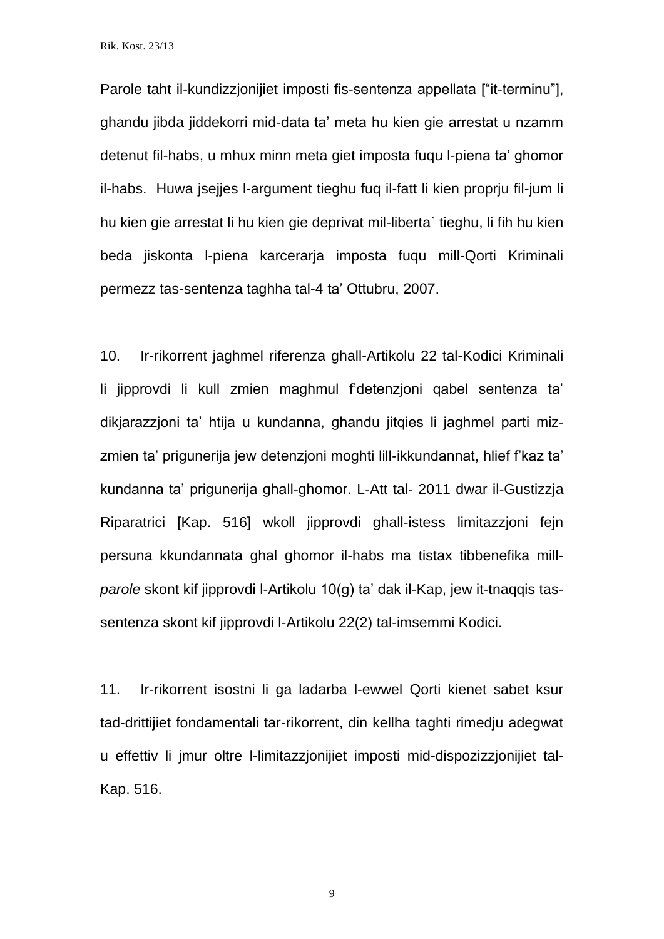Parole taht il-kundizzjonijiet imposti fis-sentenza appellata ["it-terminu"], ghandu jibda jiddekorri mid-data ta' meta hu kien gie arrestat u nzamm detenut fil-habs, u mhux minn meta giet imposta fuqu l-piena ta' ghomor il-habs. Huwa jsejjes l-argument tieghu fuq il-fatt li kien proprju fil-jum li hu kien gie arrestat li hu kien gie deprivat mil-liberta` tieghu, li fih hu kien beda jiskonta l-piena karcerarja imposta fuqu mill-Qorti Kriminali permezz tas-sentenza taghha tal-4 ta' Ottubru, 2007.

10. Ir-rikorrent jaghmel riferenza ghall-Artikolu 22 tal-Kodici Kriminali li jipprovdi li kull zmien maghmul f'detenzjoni qabel sentenza ta' dikjarazzjoni ta' htija u kundanna, ghandu jitqies li jaghmel parti mizzmien ta' prigunerija jew detenzjoni moghti lill-ikkundannat, hlief f'kaz ta' kundanna ta' prigunerija ghall-ghomor. L-Att tal- 2011 dwar il-Gustizzja Riparatrici [Kap. 516] wkoll jipprovdi ghall-istess limitazzjoni fejn persuna kkundannata ghal ghomor il-habs ma tistax tibbenefika mill*parole* skont kif jipprovdi l-Artikolu 10(g) ta' dak il-Kap, jew it-tnaqqis tassentenza skont kif jipprovdi l-Artikolu 22(2) tal-imsemmi Kodici.

11. Ir-rikorrent isostni li ga ladarba l-ewwel Qorti kienet sabet ksur tad-drittijiet fondamentali tar-rikorrent, din kellha taghti rimedju adegwat u effettiv li jmur oltre l-limitazzjonijiet imposti mid-dispozizzjonijiet tal-Kap. 516.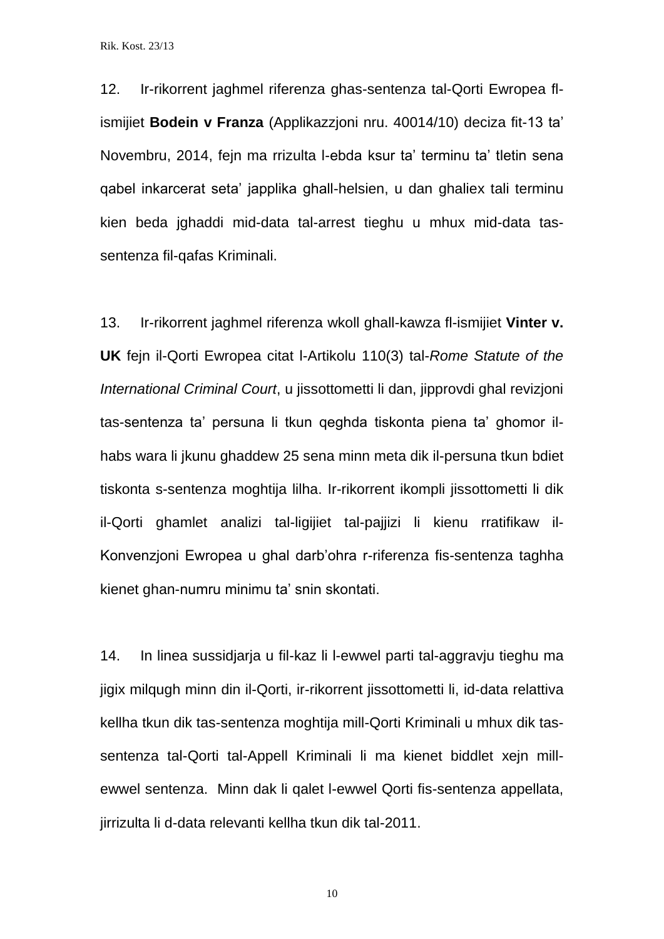12. Ir-rikorrent jaghmel riferenza ghas-sentenza tal-Qorti Ewropea flismijiet **Bodein v Franza** (Applikazzjoni nru. 40014/10) deciza fit-13 ta' Novembru, 2014, fejn ma rrizulta l-ebda ksur ta' terminu ta' tletin sena qabel inkarcerat seta' japplika ghall-helsien, u dan ghaliex tali terminu kien beda jghaddi mid-data tal-arrest tieghu u mhux mid-data tassentenza fil-qafas Kriminali.

13. Ir-rikorrent jaghmel riferenza wkoll ghall-kawza fl-ismijiet **Vinter v. UK** fejn il-Qorti Ewropea citat l-Artikolu 110(3) tal-*Rome Statute of the International Criminal Court*, u jissottometti li dan, jipprovdi ghal revizjoni tas-sentenza ta' persuna li tkun qeghda tiskonta piena ta' ghomor ilhabs wara li jkunu ghaddew 25 sena minn meta dik il-persuna tkun bdiet tiskonta s-sentenza moghtija lilha. Ir-rikorrent ikompli jissottometti li dik il-Qorti ghamlet analizi tal-ligijiet tal-pajjizi li kienu rratifikaw il-Konvenzjoni Ewropea u ghal darb'ohra r-riferenza fis-sentenza taghha kienet ghan-numru minimu ta' snin skontati.

14. In linea sussidjarja u fil-kaz li l-ewwel parti tal-aggravju tieghu ma jigix milqugh minn din il-Qorti, ir-rikorrent jissottometti li, id-data relattiva kellha tkun dik tas-sentenza moghtija mill-Qorti Kriminali u mhux dik tassentenza tal-Qorti tal-Appell Kriminali li ma kienet biddlet xejn millewwel sentenza. Minn dak li qalet l-ewwel Qorti fis-sentenza appellata, jirrizulta li d-data relevanti kellha tkun dik tal-2011.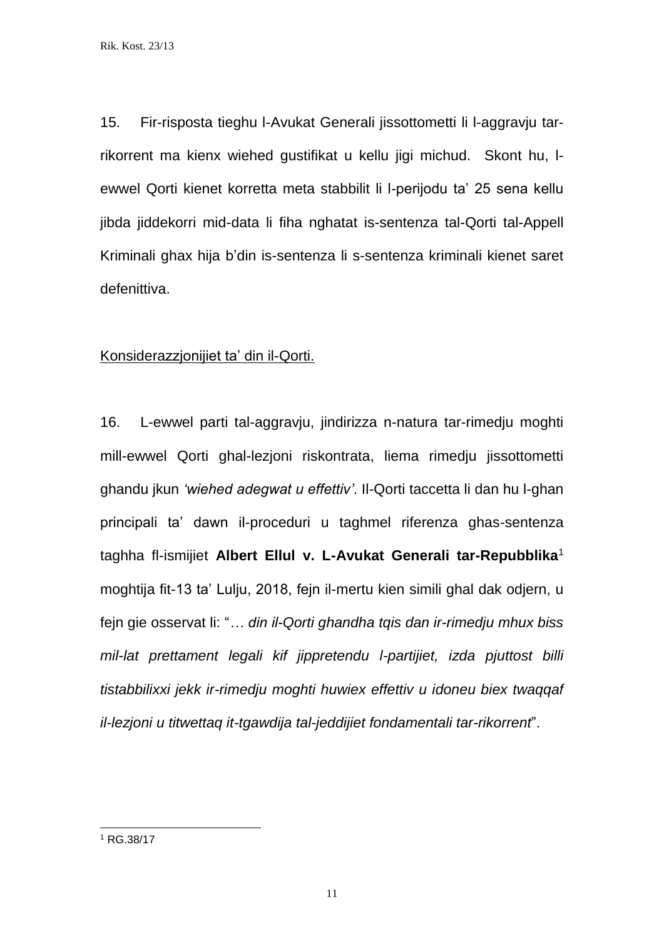15. Fir-risposta tieghu l-Avukat Generali jissottometti li l-aggravju tarrikorrent ma kienx wiehed gustifikat u kellu jigi michud. Skont hu, lewwel Qorti kienet korretta meta stabbilit li l-perijodu ta' 25 sena kellu jibda jiddekorri mid-data li fiha nghatat is-sentenza tal-Qorti tal-Appell Kriminali ghax hija b'din is-sentenza li s-sentenza kriminali kienet saret defenittiva.

# Konsiderazzjonijiet ta' din il-Qorti.

16. L-ewwel parti tal-aggravju, jindirizza n-natura tar-rimedju moghti mill-ewwel Qorti ghal-lezjoni riskontrata, liema rimedju jissottometti ghandu jkun *'wiehed adegwat u effettiv'*. Il-Qorti taccetta li dan hu l-ghan principali ta' dawn il-proceduri u taghmel riferenza ghas-sentenza taghha fl-ismijiet **Albert Ellul v. L-Avukat Generali tar-Repubblika**<sup>1</sup> moghtija fit-13 ta' Lulju, 2018, fejn il-mertu kien simili ghal dak odjern, u fejn gie osservat li: "*… din il-Qorti ghandha tqis dan ir-rimedju mhux biss mil-lat prettament legali kif jippretendu l-partijiet, izda pjuttost billi tistabbilixxi jekk ir-rimedju moghti huwiex effettiv u idoneu biex twaqqaf il-lezjoni u titwettaq it-tgawdija tal-jeddijiet fondamentali tar-rikorrent*".

l

<sup>1</sup> RG.38/17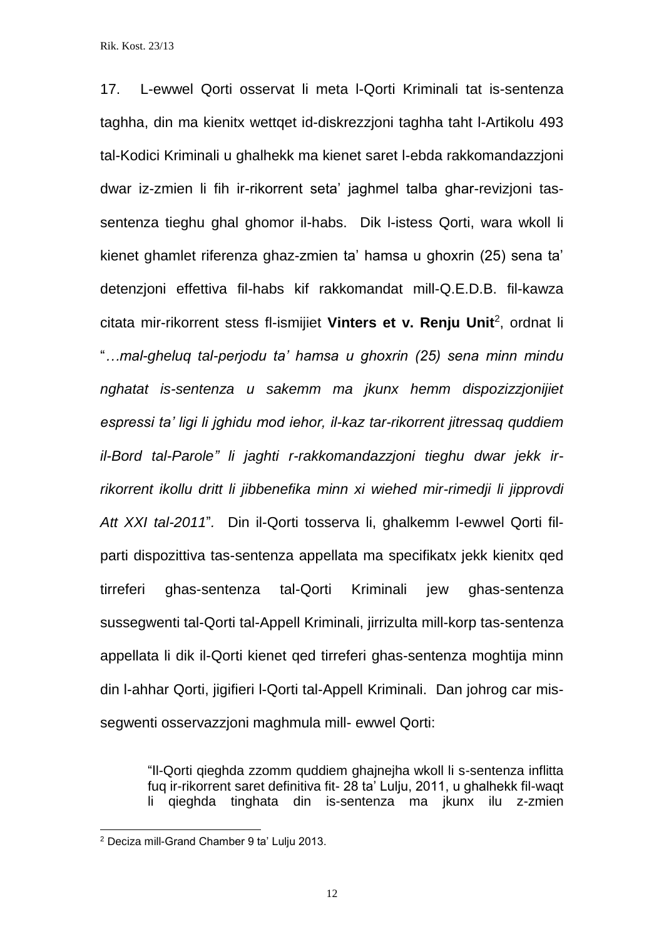17. L-ewwel Qorti osservat li meta l-Qorti Kriminali tat is-sentenza taghha, din ma kienitx wettqet id-diskrezzjoni taghha taht l-Artikolu 493 tal-Kodici Kriminali u ghalhekk ma kienet saret l-ebda rakkomandazzjoni dwar iz-zmien li fih ir-rikorrent seta' jaghmel talba ghar-revizjoni tassentenza tieghu ghal ghomor il-habs. Dik l-istess Qorti, wara wkoll li kienet ghamlet riferenza ghaz-zmien ta' hamsa u ghoxrin (25) sena ta' detenzjoni effettiva fil-habs kif rakkomandat mill-Q.E.D.B. fil-kawza citata mir-rikorrent stess fl-ismijiet **Vinters et v. Renju Unit**<sup>2</sup> , ordnat li "*…mal-gheluq tal-perjodu ta' hamsa u ghoxrin (25) sena minn mindu nghatat is-sentenza u sakemm ma jkunx hemm dispozizzjonijiet espressi ta' ligi li jghidu mod iehor, il-kaz tar-rikorrent jitressaq quddiem il-Bord tal-Parole" li jaghti r-rakkomandazzjoni tieghu dwar jekk irrikorrent ikollu dritt li jibbenefika minn xi wiehed mir-rimedji li jipprovdi Att XXI tal-2011*"*.* Din il-Qorti tosserva li, ghalkemm l-ewwel Qorti filparti dispozittiva tas-sentenza appellata ma specifikatx jekk kienitx qed tirreferi ghas-sentenza tal-Qorti Kriminali jew ghas-sentenza sussegwenti tal-Qorti tal-Appell Kriminali, jirrizulta mill-korp tas-sentenza appellata li dik il-Qorti kienet qed tirreferi ghas-sentenza moghtija minn din l-ahhar Qorti, jigifieri l-Qorti tal-Appell Kriminali. Dan johrog car missegwenti osservazzjoni maghmula mill- ewwel Qorti:

"Il-Qorti qieghda zzomm quddiem ghajnejha wkoll li s-sentenza inflitta fuq ir-rikorrent saret definitiva fit- 28 ta' Lulju, 2011, u ghalhekk fil-waqt li qieghda tinghata din is-sentenza ma jkunx ilu z-zmien

l

<sup>2</sup> Deciza mill-Grand Chamber 9 ta' Lulju 2013.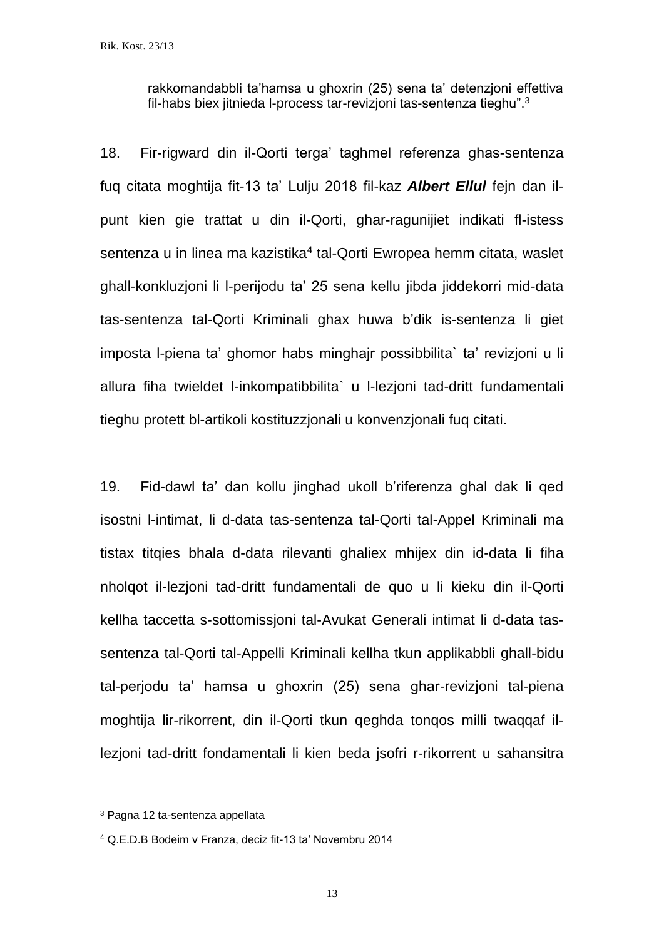rakkomandabbli ta'hamsa u ghoxrin (25) sena ta' detenzjoni effettiva fil-habs biex jitnieda l-process tar-revizjoni tas-sentenza tieghu". 3

18. Fir-rigward din il-Qorti terga' taghmel referenza ghas-sentenza fuq citata moghtija fit-13 ta' Lulju 2018 fil-kaz *Albert Ellul* fejn dan ilpunt kien gie trattat u din il-Qorti, ghar-ragunijiet indikati fl-istess sentenza u in linea ma kazistika<sup>4</sup> tal-Qorti Ewropea hemm citata, waslet ghall-konkluzjoni li l-perijodu ta' 25 sena kellu jibda jiddekorri mid-data tas-sentenza tal-Qorti Kriminali ghax huwa b'dik is-sentenza li giet imposta l-piena ta' ghomor habs minghajr possibbilita` ta' revizjoni u li allura fiha twieldet l-inkompatibbilita` u l-lezjoni tad-dritt fundamentali tieghu protett bl-artikoli kostituzzjonali u konvenzjonali fuq citati.

19. Fid-dawl ta' dan kollu jinghad ukoll b'riferenza ghal dak li qed isostni l-intimat, li d-data tas-sentenza tal-Qorti tal-Appel Kriminali ma tistax titqies bhala d-data rilevanti ghaliex mhijex din id-data li fiha nholqot il-lezjoni tad-dritt fundamentali de quo u li kieku din il-Qorti kellha taccetta s-sottomissjoni tal-Avukat Generali intimat li d-data tassentenza tal-Qorti tal-Appelli Kriminali kellha tkun applikabbli ghall-bidu tal-perjodu ta' hamsa u ghoxrin (25) sena ghar-revizjoni tal-piena moghtija lir-rikorrent, din il-Qorti tkun qeghda tonqos milli twaqqaf illezjoni tad-dritt fondamentali li kien beda jsofri r-rikorrent u sahansitra

l

<sup>3</sup> Pagna 12 ta-sentenza appellata

<sup>4</sup> Q.E.D.B Bodeim v Franza, deciz fit-13 ta' Novembru 2014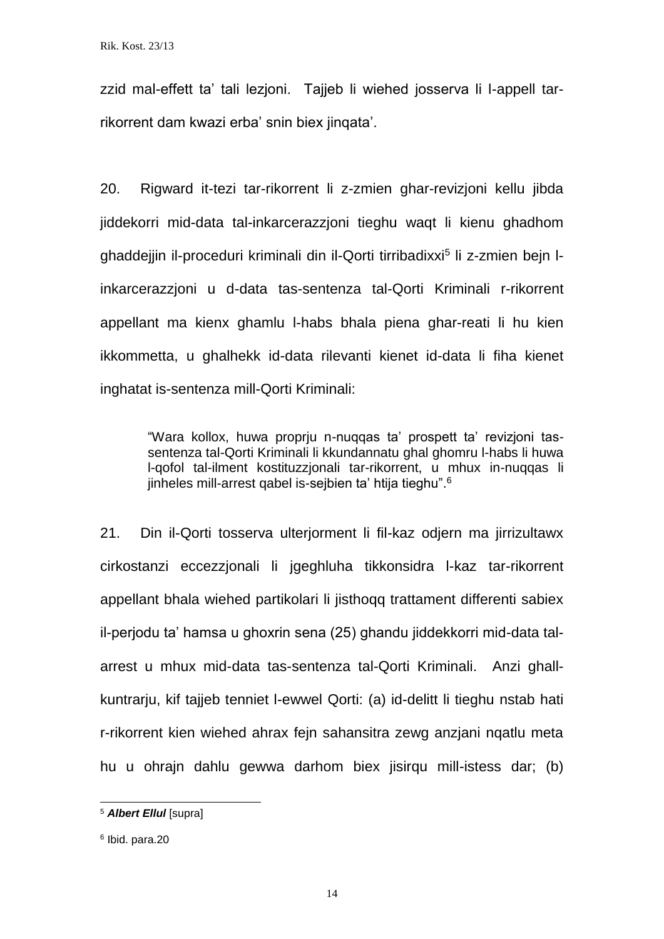zzid mal-effett ta' tali lezjoni. Tajjeb li wiehed josserva li l-appell tarrikorrent dam kwazi erba' snin biex jinqata'.

20. Rigward it-tezi tar-rikorrent li z-zmien ghar-revizjoni kellu jibda jiddekorri mid-data tal-inkarcerazzjoni tieghu waqt li kienu ghadhom ghaddejjin il-proceduri kriminali din il-Qorti tirribadixxi<sup>5</sup> li z-zmien bejn linkarcerazzjoni u d-data tas-sentenza tal-Qorti Kriminali r-rikorrent appellant ma kienx ghamlu l-habs bhala piena ghar-reati li hu kien ikkommetta, u ghalhekk id-data rilevanti kienet id-data li fiha kienet inghatat is-sentenza mill-Qorti Kriminali:

"Wara kollox, huwa proprju n-nuqqas ta' prospett ta' revizjoni tassentenza tal-Qorti Kriminali li kkundannatu ghal ghomru l-habs li huwa l-qofol tal-ilment kostituzzjonali tar-rikorrent, u mhux in-nuqqas li jinheles mill-arrest qabel is-sejbien ta' htija tieghu". 6

21. Din il-Qorti tosserva ulterjorment li fil-kaz odjern ma jirrizultawx cirkostanzi eccezzjonali li jgeghluha tikkonsidra l-kaz tar-rikorrent appellant bhala wiehed partikolari li jisthoqq trattament differenti sabiex il-perjodu ta' hamsa u ghoxrin sena (25) ghandu jiddekkorri mid-data talarrest u mhux mid-data tas-sentenza tal-Qorti Kriminali. Anzi ghallkuntrarju, kif tajjeb tenniet l-ewwel Qorti: (a) id-delitt li tieghu nstab hati r-rikorrent kien wiehed ahrax fejn sahansitra zewg anzjani nqatlu meta hu u ohrain dahlu gewwa darhom biex iisirgu mill-istess dar; (b)

l

<sup>5</sup> *Albert Ellul* [supra]

<sup>6</sup> Ibid. para.20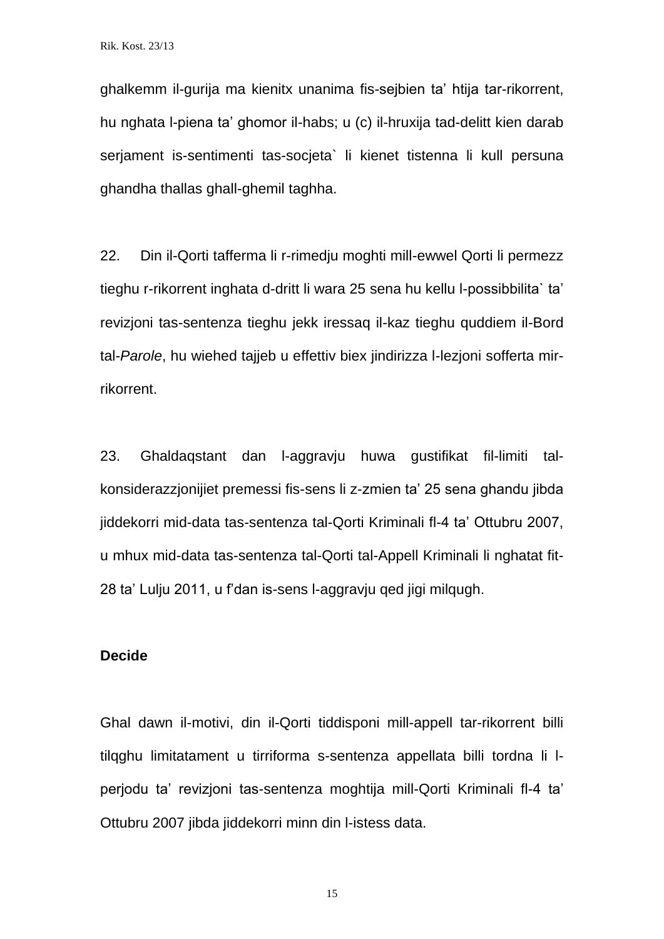ghalkemm il-gurija ma kienitx unanima fis-sejbien ta' htija tar-rikorrent, hu nghata l-piena ta' ghomor il-habs; u (c) il-hruxija tad-delitt kien darab serjament is-sentimenti tas-socjeta` li kienet tistenna li kull persuna ghandha thallas ghall-ghemil taghha.

22. Din il-Qorti tafferma li r-rimedju moghti mill-ewwel Qorti li permezz tieghu r-rikorrent inghata d-dritt li wara 25 sena hu kellu l-possibbilita` ta' revizjoni tas-sentenza tieghu jekk iressaq il-kaz tieghu quddiem il-Bord tal-*Parole*, hu wiehed tajjeb u effettiv biex jindirizza l-lezjoni sofferta mirrikorrent.

23. Ghaldaqstant dan l-aggravju huwa gustifikat fil-limiti talkonsiderazzjonijiet premessi fis-sens li z-zmien ta' 25 sena ghandu jibda jiddekorri mid-data tas-sentenza tal-Qorti Kriminali fl-4 ta' Ottubru 2007, u mhux mid-data tas-sentenza tal-Qorti tal-Appell Kriminali li nghatat fit-28 ta' Lulju 2011, u f'dan is-sens l-aggravju qed jigi milqugh.

#### **Decide**

Ghal dawn il-motivi, din il-Qorti tiddisponi mill-appell tar-rikorrent billi tilqghu limitatament u tirriforma s-sentenza appellata billi tordna li lperjodu ta' revizjoni tas-sentenza moghtija mill-Qorti Kriminali fl-4 ta' Ottubru 2007 jibda jiddekorri minn din l-istess data.